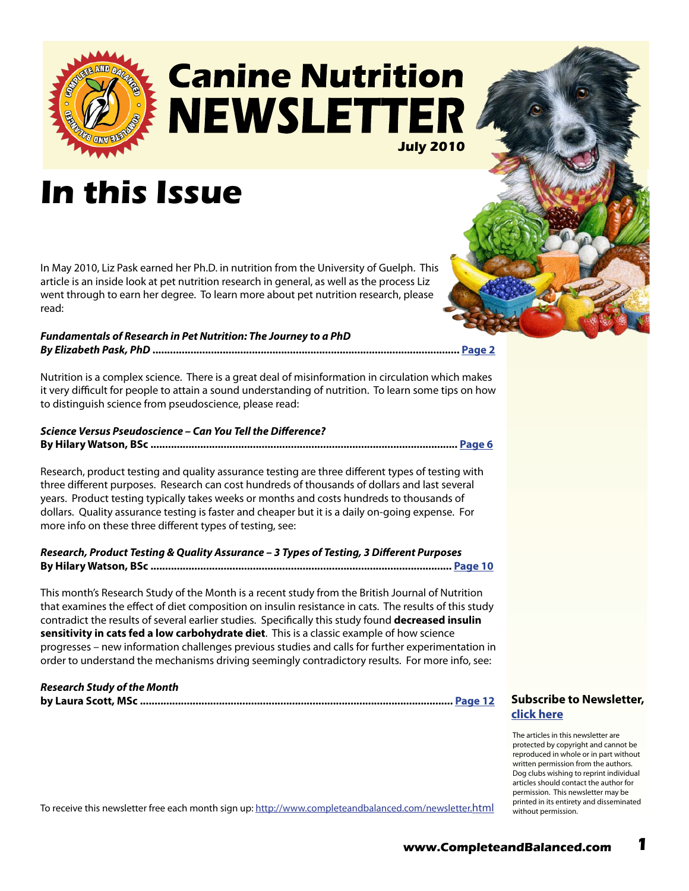

## **Canine Nutrition NEWSLETTER July 2010**

## **In this Issue**

In May 2010, Liz Pask earned her Ph.D. in nutrition from the University of Guelph. This article is an inside look at pet nutrition research in general, as well as the process Liz went through to earn her degree. To learn more about pet nutrition research, please read:

#### *Fundamentals of Research in Pet Nutrition: The Journey to a PhD By Elizabeth Pask, PhD* **......................................................................................................... [Page 2](#page-1-0)**

Nutrition is a complex science. There is a great deal of misinformation in circulation which makes it very difficult for people to attain a sound understanding of nutrition. To learn some tips on how to distinguish science from pseudoscience, please read:

*Science Versus Pseudoscience – Can You Tell the Difference?* **By Hilary Watson, BSc ......................................................................................................... [Page](#page-5-0) 6**

Research, product testing and quality assurance testing are three different types of testing with three different purposes. Research can cost hundreds of thousands of dollars and last several years. Product testing typically takes weeks or months and costs hundreds to thousands of dollars. Quality assurance testing is faster and cheaper but it is a daily on-going expense. For more info on these three different types of testing, see:

*Research, Product Testing & Quality Assurance – 3 Types of Testing, 3 Different Purposes* **By Hilary Watson, BSc ....................................................................................................... [Page 10](#page-9-0)**

This month's Research Study of the Month is a recent study from the British Journal of Nutrition that examines the effect of diet composition on insulin resistance in cats. The results of this study contradict the results of several earlier studies. Specifically this study found **decreased insulin sensitivity in cats fed a low carbohydrate diet**. This is a classic example of how science progresses – new information challenges previous studies and calls for further experimentation in order to understand the mechanisms driving seemingly contradictory results. For more info, see:

#### *Research Study of the Month*

**by Laura Scott, MSc ........................................................................................................... [Page 1](#page-11-0)2**

#### **[Subscribe to Newsletter,](http://ymlp.com/signup.php?id=geebeqbgmgh)  click here**

The articles in this newsletter are protected by copyright and cannot be reproduced in whole or in part without written permission from the authors. Dog clubs wishing to reprint individual articles should contact the author for permission. This newsletter may be printed in its entirety and disseminated without permission.

To receive this newsletter free each month sign up:<http://www.completeandbalanced.com/newsletter.html>

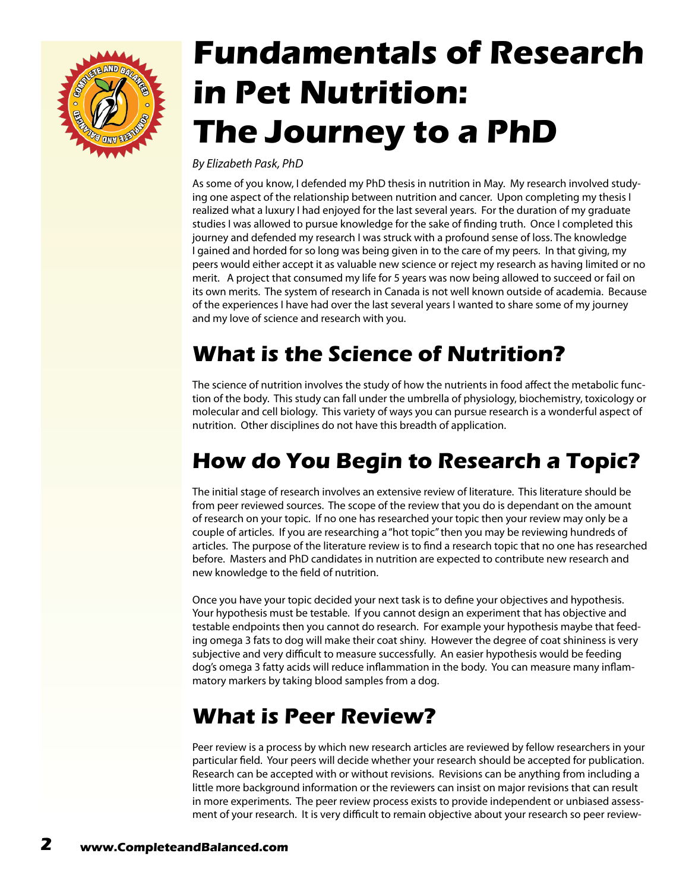<span id="page-1-0"></span>

# **Fundamentals of Research in Pet Nutrition: The Journey to a PhD**

*By Elizabeth Pask, PhD*

As some of you know, I defended my PhD thesis in nutrition in May. My research involved studying one aspect of the relationship between nutrition and cancer. Upon completing my thesis I realized what a luxury I had enjoyed for the last several years. For the duration of my graduate studies I was allowed to pursue knowledge for the sake of finding truth. Once I completed this journey and defended my research I was struck with a profound sense of loss. The knowledge I gained and horded for so long was being given in to the care of my peers. In that giving, my peers would either accept it as valuable new science or reject my research as having limited or no merit. A project that consumed my life for 5 years was now being allowed to succeed or fail on its own merits. The system of research in Canada is not well known outside of academia. Because of the experiences I have had over the last several years I wanted to share some of my journey and my love of science and research with you.

### **What is the Science of Nutrition?**

The science of nutrition involves the study of how the nutrients in food affect the metabolic function of the body. This study can fall under the umbrella of physiology, biochemistry, toxicology or molecular and cell biology. This variety of ways you can pursue research is a wonderful aspect of nutrition. Other disciplines do not have this breadth of application.

### **How do You Begin to Research a Topic?**

The initial stage of research involves an extensive review of literature. This literature should be from peer reviewed sources. The scope of the review that you do is dependant on the amount of research on your topic. If no one has researched your topic then your review may only be a couple of articles. If you are researching a "hot topic" then you may be reviewing hundreds of articles. The purpose of the literature review is to find a research topic that no one has researched before. Masters and PhD candidates in nutrition are expected to contribute new research and new knowledge to the field of nutrition.

Once you have your topic decided your next task is to define your objectives and hypothesis. Your hypothesis must be testable. If you cannot design an experiment that has objective and testable endpoints then you cannot do research. For example your hypothesis maybe that feeding omega 3 fats to dog will make their coat shiny. However the degree of coat shininess is very subjective and very difficult to measure successfully. An easier hypothesis would be feeding dog's omega 3 fatty acids will reduce inflammation in the body. You can measure many inflammatory markers by taking blood samples from a dog.

#### **What is Peer Review?**

Peer review is a process by which new research articles are reviewed by fellow researchers in your particular field. Your peers will decide whether your research should be accepted for publication. Research can be accepted with or without revisions. Revisions can be anything from including a little more background information or the reviewers can insist on major revisions that can result in more experiments. The peer review process exists to provide independent or unbiased assessment of your research. It is very difficult to remain objective about your research so peer review-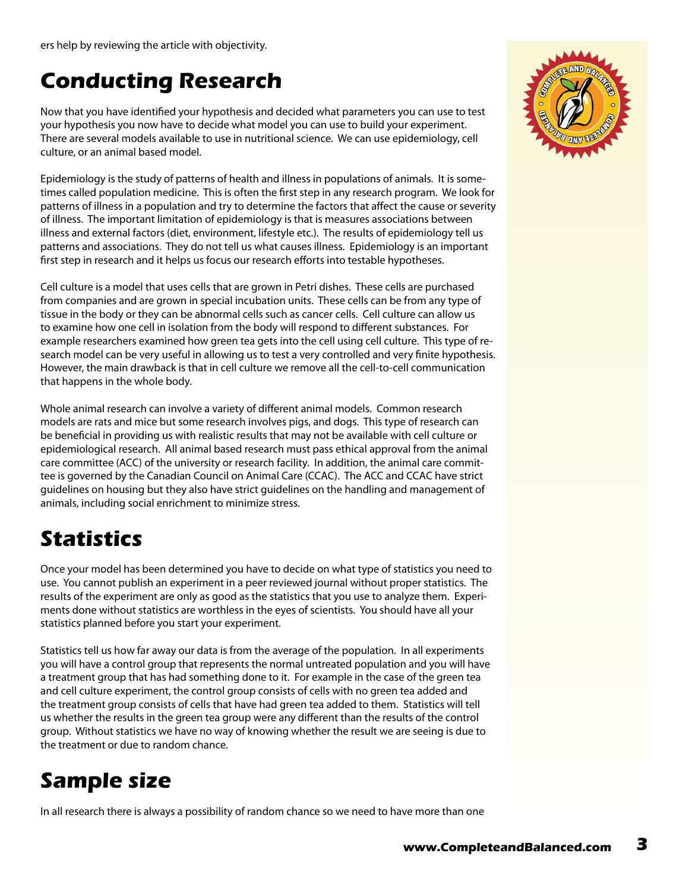#### **Conducting Research**

Now that you have identified your hypothesis and decided what parameters you can use to test your hypothesis you now have to decide what model you can use to build your experiment. There are several models available to use in nutritional science. We can use epidemiology, cell culture, or an animal based model.

Epidemiology is the study of patterns of health and illness in populations of animals. It is sometimes called population medicine. This is often the first step in any research program. We look for patterns of illness in a population and try to determine the factors that affect the cause or severity of illness. The important limitation of epidemiology is that is measures associations between illness and external factors (diet, environment, lifestyle etc.). The results of epidemiology tell us patterns and associations. They do not tell us what causes illness. Epidemiology is an important first step in research and it helps us focus our research efforts into testable hypotheses.

Cell culture is a model that uses cells that are grown in Petri dishes. These cells are purchased from companies and are grown in special incubation units. These cells can be from any type of tissue in the body or they can be abnormal cells such as cancer cells. Cell culture can allow us to examine how one cell in isolation from the body will respond to different substances. For example researchers examined how green tea gets into the cell using cell culture. This type of research model can be very useful in allowing us to test a very controlled and very finite hypothesis. However, the main drawback is that in cell culture we remove all the cell-to-cell communication that happens in the whole body.

Whole animal research can involve a variety of different animal models. Common research models are rats and mice but some research involves pigs, and dogs. This type of research can be beneficial in providing us with realistic results that may not be available with cell culture or epidemiological research. All animal based research must pass ethical approval from the animal care committee (ACC) of the university or research facility. In addition, the animal care committee is governed by the Canadian Council on Animal Care (CCAC). The ACC and CCAC have strict guidelines on housing but they also have strict guidelines on the handling and management of animals, including social enrichment to minimize stress.

### **Statistics**

Once your model has been determined you have to decide on what type of statistics you need to use. You cannot publish an experiment in a peer reviewed journal without proper statistics. The results of the experiment are only as good as the statistics that you use to analyze them. Experiments done without statistics are worthless in the eyes of scientists. You should have all your statistics planned before you start your experiment.

Statistics tell us how far away our data is from the average of the population. In all experiments you will have a control group that represents the normal untreated population and you will have a treatment group that has had something done to it. For example in the case of the green tea and cell culture experiment, the control group consists of cells with no green tea added and the treatment group consists of cells that have had green tea added to them. Statistics will tell us whether the results in the green tea group were any different than the results of the control group. Without statistics we have no way of knowing whether the result we are seeing is due to the treatment or due to random chance.

### **Sample size**

In all research there is always a possibility of random chance so we need to have more than one

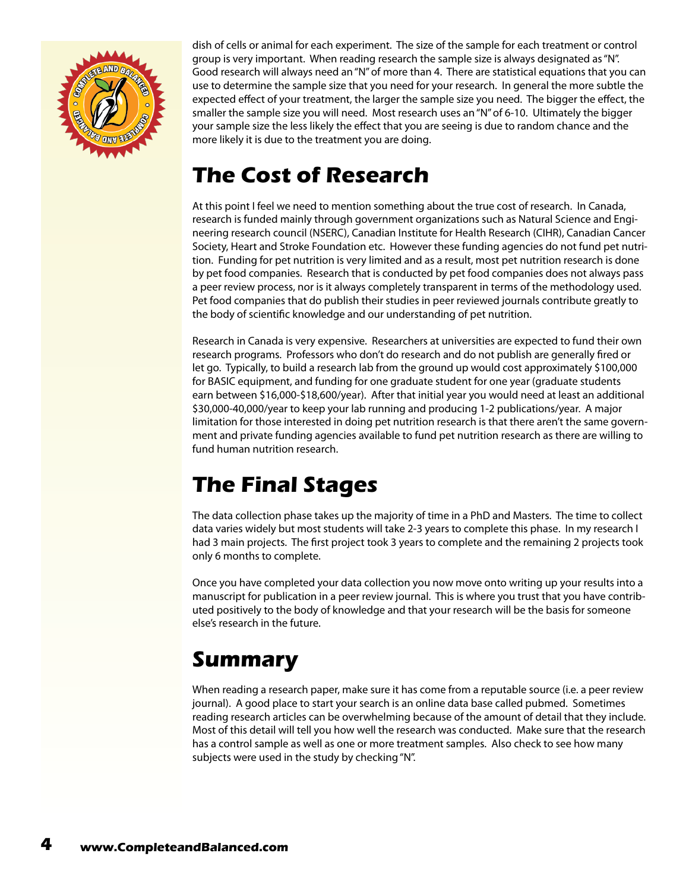

dish of cells or animal for each experiment. The size of the sample for each treatment or control group is very important. When reading research the sample size is always designated as "N". Good research will always need an "N" of more than 4. There are statistical equations that you can use to determine the sample size that you need for your research. In general the more subtle the expected effect of your treatment, the larger the sample size you need. The bigger the effect, the smaller the sample size you will need. Most research uses an "N" of 6-10. Ultimately the bigger your sample size the less likely the effect that you are seeing is due to random chance and the more likely it is due to the treatment you are doing.

#### **The Cost of Research**

At this point I feel we need to mention something about the true cost of research. In Canada, research is funded mainly through government organizations such as Natural Science and Engineering research council (NSERC), Canadian Institute for Health Research (CIHR), Canadian Cancer Society, Heart and Stroke Foundation etc. However these funding agencies do not fund pet nutrition. Funding for pet nutrition is very limited and as a result, most pet nutrition research is done by pet food companies. Research that is conducted by pet food companies does not always pass a peer review process, nor is it always completely transparent in terms of the methodology used. Pet food companies that do publish their studies in peer reviewed journals contribute greatly to the body of scientific knowledge and our understanding of pet nutrition.

Research in Canada is very expensive. Researchers at universities are expected to fund their own research programs. Professors who don't do research and do not publish are generally fired or let go. Typically, to build a research lab from the ground up would cost approximately \$100,000 for BASIC equipment, and funding for one graduate student for one year (graduate students earn between \$16,000-\$18,600/year). After that initial year you would need at least an additional \$30,000-40,000/year to keep your lab running and producing 1-2 publications/year. A major limitation for those interested in doing pet nutrition research is that there aren't the same government and private funding agencies available to fund pet nutrition research as there are willing to fund human nutrition research.

#### **The Final Stages**

The data collection phase takes up the majority of time in a PhD and Masters. The time to collect data varies widely but most students will take 2-3 years to complete this phase. In my research I had 3 main projects. The first project took 3 years to complete and the remaining 2 projects took only 6 months to complete.

Once you have completed your data collection you now move onto writing up your results into a manuscript for publication in a peer review journal. This is where you trust that you have contributed positively to the body of knowledge and that your research will be the basis for someone else's research in the future.

#### **Summary**

When reading a research paper, make sure it has come from a reputable source (i.e. a peer review journal). A good place to start your search is an online data base called pubmed. Sometimes reading research articles can be overwhelming because of the amount of detail that they include. Most of this detail will tell you how well the research was conducted. Make sure that the research has a control sample as well as one or more treatment samples. Also check to see how many subjects were used in the study by checking "N".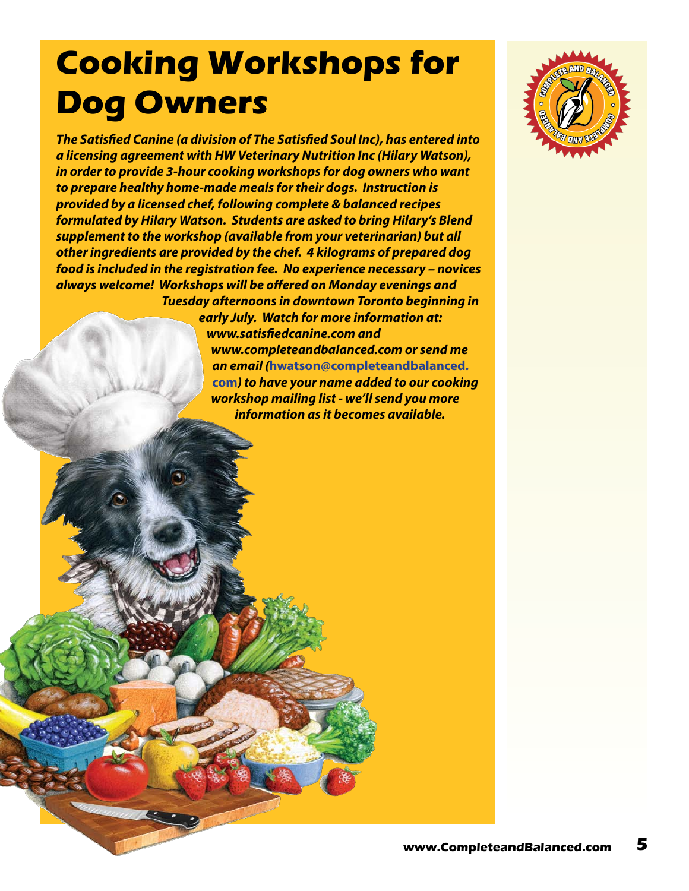# **Cooking Workshops for Dog Owners**

*The Satisfied Canine (a division of The Satisfied Soul Inc), has entered into a licensing agreement with HW Veterinary Nutrition Inc (Hilary Watson), in order to provide 3-hour cooking workshops for dog owners who want to prepare healthy home-made meals for their dogs. Instruction is provided by a licensed chef, following complete & balanced recipes formulated by Hilary Watson. Students are asked to bring Hilary's Blend supplement to the workshop (available from your veterinarian) but all other ingredients are provided by the chef. 4 kilograms of prepared dog food is included in the registration fee. No experience necessary – novices always welcome! Workshops will be offered on Monday evenings and Tuesday afternoons in downtown Toronto beginning in* 

*early July. Watch for more information at: www.satisfiedcanine.com and www.completeandbalanced.com or send me an email (***[hwatson@completeandbalanced.](mailto:hwatson@completeandbalanced.com) [com](mailto:hwatson@completeandbalanced.com)***) to have your name added to our cooking workshop mailing list - we'll send you more information as it becomes available.*

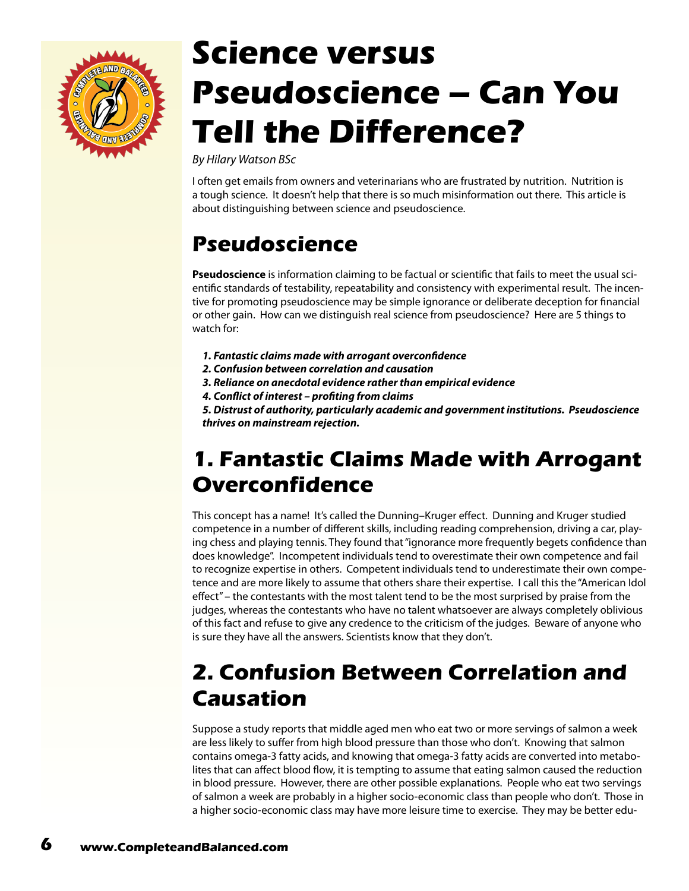<span id="page-5-0"></span>

# **Science versus Pseudoscience – Can You Tell the Difference?**

*By Hilary Watson BSc*

I often get emails from owners and veterinarians who are frustrated by nutrition. Nutrition is a tough science. It doesn't help that there is so much misinformation out there. This article is about distinguishing between science and pseudoscience.

#### **Pseudoscience**

**Pseudoscience** is information claiming to be factual or scientific that fails to meet the usual scientific standards of testability, repeatability and consistency with experimental result. The incentive for promoting pseudoscience may be simple ignorance or deliberate deception for financial or other gain. How can we distinguish real science from pseudoscience? Here are 5 things to watch for:

- *1. Fantastic claims made with arrogant overconfidence*
- *2. Confusion between correlation and causation*
- *3. Reliance on anecdotal evidence rather than empirical evidence*
- *4. Conflict of interest profiting from claims*

*5. Distrust of authority, particularly academic and government institutions. Pseudoscience thrives on mainstream rejection.*

#### **1. Fantastic Claims Made with Arrogant Overconfidence**

This concept has a name! It's called the Dunning–Kruger effect. Dunning and Kruger studied competence in a number of different skills, including reading comprehension, driving a car, playing chess and playing tennis. They found that "ignorance more frequently begets confidence than does knowledge". Incompetent individuals tend to overestimate their own competence and fail to recognize expertise in others. Competent individuals tend to underestimate their own competence and are more likely to assume that others share their expertise. I call this the "American Idol effect" – the contestants with the most talent tend to be the most surprised by praise from the judges, whereas the contestants who have no talent whatsoever are always completely oblivious of this fact and refuse to give any credence to the criticism of the judges. Beware of anyone who is sure they have all the answers. Scientists know that they don't.

#### **2. Confusion Between Correlation and Causation**

Suppose a study reports that middle aged men who eat two or more servings of salmon a week are less likely to suffer from high blood pressure than those who don't. Knowing that salmon contains omega-3 fatty acids, and knowing that omega-3 fatty acids are converted into metabolites that can affect blood flow, it is tempting to assume that eating salmon caused the reduction in blood pressure. However, there are other possible explanations. People who eat two servings of salmon a week are probably in a higher socio-economic class than people who don't. Those in a higher socio-economic class may have more leisure time to exercise. They may be better edu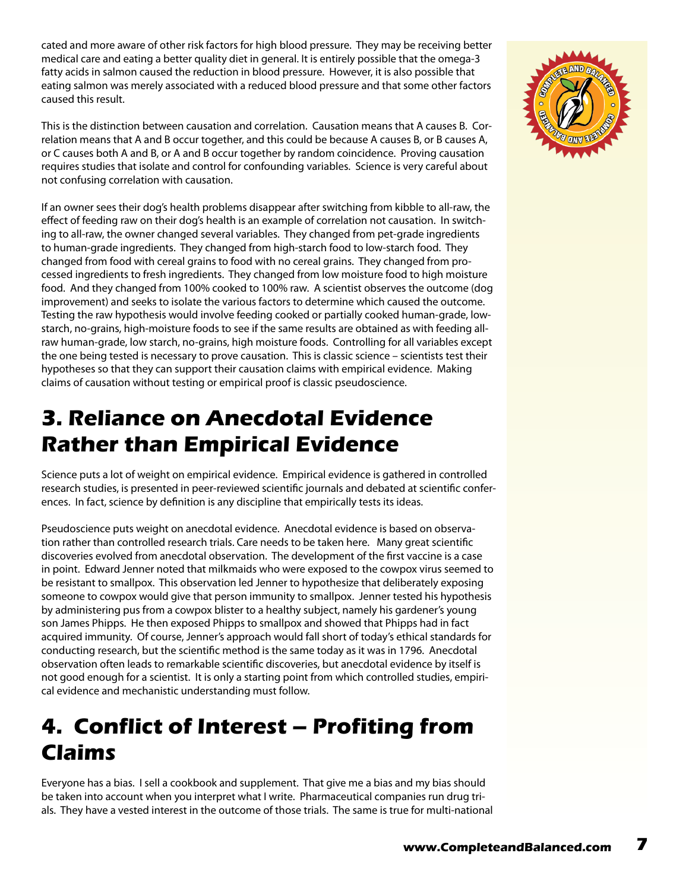cated and more aware of other risk factors for high blood pressure. They may be receiving better medical care and eating a better quality diet in general. It is entirely possible that the omega-3 fatty acids in salmon caused the reduction in blood pressure. However, it is also possible that eating salmon was merely associated with a reduced blood pressure and that some other factors caused this result.

This is the distinction between causation and correlation. Causation means that A causes B. Correlation means that A and B occur together, and this could be because A causes B, or B causes A, or C causes both A and B, or A and B occur together by random coincidence. Proving causation requires studies that isolate and control for confounding variables. Science is very careful about not confusing correlation with causation.

If an owner sees their dog's health problems disappear after switching from kibble to all-raw, the effect of feeding raw on their dog's health is an example of correlation not causation. In switching to all-raw, the owner changed several variables. They changed from pet-grade ingredients to human-grade ingredients. They changed from high-starch food to low-starch food. They changed from food with cereal grains to food with no cereal grains. They changed from processed ingredients to fresh ingredients. They changed from low moisture food to high moisture food. And they changed from 100% cooked to 100% raw. A scientist observes the outcome (dog improvement) and seeks to isolate the various factors to determine which caused the outcome. Testing the raw hypothesis would involve feeding cooked or partially cooked human-grade, lowstarch, no-grains, high-moisture foods to see if the same results are obtained as with feeding allraw human-grade, low starch, no-grains, high moisture foods. Controlling for all variables except the one being tested is necessary to prove causation. This is classic science – scientists test their hypotheses so that they can support their causation claims with empirical evidence. Making claims of causation without testing or empirical proof is classic pseudoscience.

#### **3. Reliance on Anecdotal Evidence Rather than Empirical Evidence**

Science puts a lot of weight on empirical evidence. Empirical evidence is gathered in controlled research studies, is presented in peer-reviewed scientific journals and debated at scientific conferences. In fact, science by definition is any discipline that empirically tests its ideas.

Pseudoscience puts weight on anecdotal evidence. Anecdotal evidence is based on observation rather than controlled research trials. Care needs to be taken here. Many great scientific discoveries evolved from anecdotal observation. The development of the first vaccine is a case in point. Edward Jenner noted that milkmaids who were exposed to the cowpox virus seemed to be resistant to smallpox. This observation led Jenner to hypothesize that deliberately exposing someone to cowpox would give that person immunity to smallpox. Jenner tested his hypothesis by administering pus from a cowpox blister to a healthy subject, namely his gardener's young son James Phipps. He then exposed Phipps to smallpox and showed that Phipps had in fact acquired immunity. Of course, Jenner's approach would fall short of today's ethical standards for conducting research, but the scientific method is the same today as it was in 1796. Anecdotal observation often leads to remarkable scientific discoveries, but anecdotal evidence by itself is not good enough for a scientist. It is only a starting point from which controlled studies, empirical evidence and mechanistic understanding must follow.

#### **4. Conflict of Interest – Profiting from Claims**

Everyone has a bias. I sell a cookbook and supplement. That give me a bias and my bias should be taken into account when you interpret what I write. Pharmaceutical companies run drug trials. They have a vested interest in the outcome of those trials. The same is true for multi-national

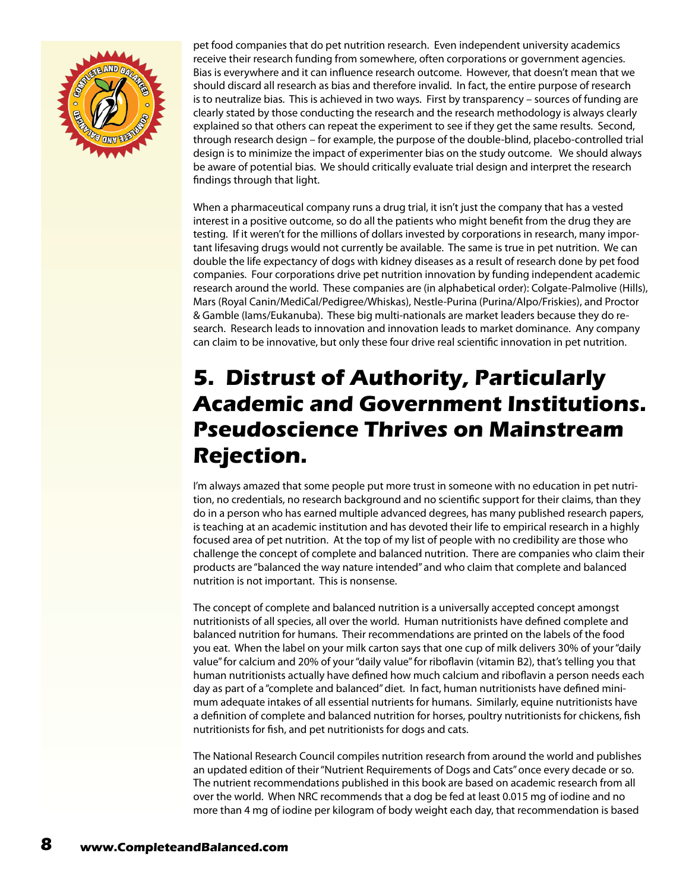

pet food companies that do pet nutrition research. Even independent university academics receive their research funding from somewhere, often corporations or government agencies. Bias is everywhere and it can influence research outcome. However, that doesn't mean that we should discard all research as bias and therefore invalid. In fact, the entire purpose of research is to neutralize bias. This is achieved in two ways. First by transparency – sources of funding are clearly stated by those conducting the research and the research methodology is always clearly explained so that others can repeat the experiment to see if they get the same results. Second, through research design – for example, the purpose of the double-blind, placebo-controlled trial design is to minimize the impact of experimenter bias on the study outcome. We should always be aware of potential bias. We should critically evaluate trial design and interpret the research findings through that light.

When a pharmaceutical company runs a drug trial, it isn't just the company that has a vested interest in a positive outcome, so do all the patients who might benefit from the drug they are testing. If it weren't for the millions of dollars invested by corporations in research, many important lifesaving drugs would not currently be available. The same is true in pet nutrition. We can double the life expectancy of dogs with kidney diseases as a result of research done by pet food companies. Four corporations drive pet nutrition innovation by funding independent academic research around the world. These companies are (in alphabetical order): Colgate-Palmolive (Hills), Mars (Royal Canin/MediCal/Pedigree/Whiskas), Nestle-Purina (Purina/Alpo/Friskies), and Proctor & Gamble (Iams/Eukanuba). These big multi-nationals are market leaders because they do research. Research leads to innovation and innovation leads to market dominance. Any company can claim to be innovative, but only these four drive real scientific innovation in pet nutrition.

#### **5. Distrust of Authority, Particularly Academic and Government Institutions. Pseudoscience Thrives on Mainstream Rejection.**

I'm always amazed that some people put more trust in someone with no education in pet nutrition, no credentials, no research background and no scientific support for their claims, than they do in a person who has earned multiple advanced degrees, has many published research papers, is teaching at an academic institution and has devoted their life to empirical research in a highly focused area of pet nutrition. At the top of my list of people with no credibility are those who challenge the concept of complete and balanced nutrition. There are companies who claim their products are "balanced the way nature intended" and who claim that complete and balanced nutrition is not important. This is nonsense.

The concept of complete and balanced nutrition is a universally accepted concept amongst nutritionists of all species, all over the world. Human nutritionists have defined complete and balanced nutrition for humans. Their recommendations are printed on the labels of the food you eat. When the label on your milk carton says that one cup of milk delivers 30% of your "daily value" for calcium and 20% of your "daily value" for riboflavin (vitamin B2), that's telling you that human nutritionists actually have defined how much calcium and riboflavin a person needs each day as part of a "complete and balanced" diet. In fact, human nutritionists have defined minimum adequate intakes of all essential nutrients for humans. Similarly, equine nutritionists have a definition of complete and balanced nutrition for horses, poultry nutritionists for chickens, fish nutritionists for fish, and pet nutritionists for dogs and cats.

The National Research Council compiles nutrition research from around the world and publishes an updated edition of their "Nutrient Requirements of Dogs and Cats" once every decade or so. The nutrient recommendations published in this book are based on academic research from all over the world. When NRC recommends that a dog be fed at least 0.015 mg of iodine and no more than 4 mg of iodine per kilogram of body weight each day, that recommendation is based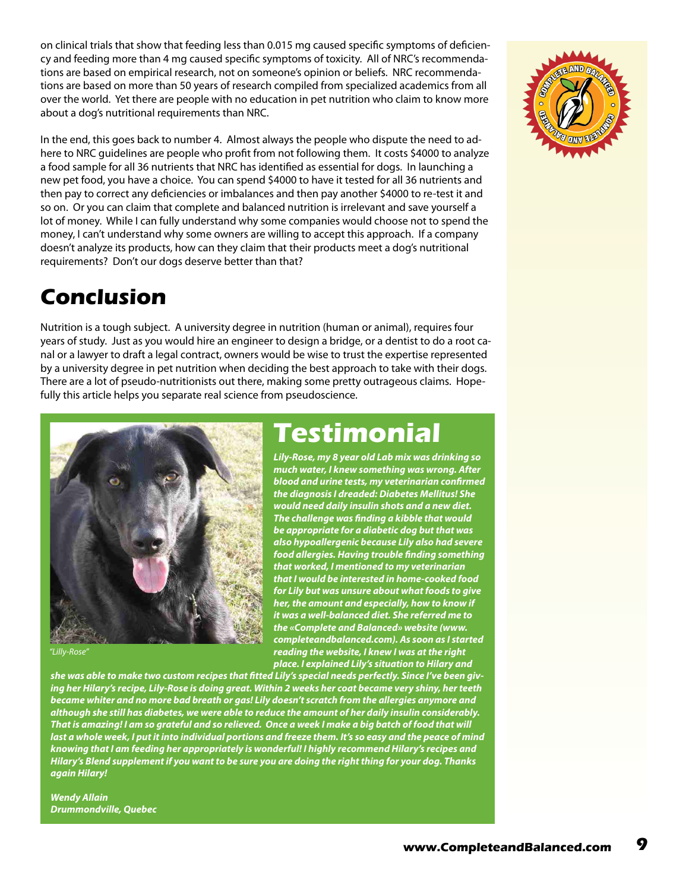on clinical trials that show that feeding less than 0.015 mg caused specific symptoms of deficiency and feeding more than 4 mg caused specific symptoms of toxicity. All of NRC's recommendations are based on empirical research, not on someone's opinion or beliefs. NRC recommendations are based on more than 50 years of research compiled from specialized academics from all over the world. Yet there are people with no education in pet nutrition who claim to know more about a dog's nutritional requirements than NRC.

In the end, this goes back to number 4. Almost always the people who dispute the need to adhere to NRC guidelines are people who profit from not following them. It costs \$4000 to analyze a food sample for all 36 nutrients that NRC has identified as essential for dogs. In launching a new pet food, you have a choice. You can spend \$4000 to have it tested for all 36 nutrients and then pay to correct any deficiencies or imbalances and then pay another \$4000 to re-test it and so on. Or you can claim that complete and balanced nutrition is irrelevant and save yourself a lot of money. While I can fully understand why some companies would choose not to spend the money, I can't understand why some owners are willing to accept this approach. If a company doesn't analyze its products, how can they claim that their products meet a dog's nutritional requirements? Don't our dogs deserve better than that?

#### **Conclusion**

Nutrition is a tough subject. A university degree in nutrition (human or animal), requires four years of study. Just as you would hire an engineer to design a bridge, or a dentist to do a root canal or a lawyer to draft a legal contract, owners would be wise to trust the expertise represented by a university degree in pet nutrition when deciding the best approach to take with their dogs. There are a lot of pseudo-nutritionists out there, making some pretty outrageous claims. Hopefully this article helps you separate real science from pseudoscience.



*"Lilly-Rose"*

*she was able to make two custom recipes that fitted Lily's special needs perfectly. Since I've been giving her Hilary's recipe, Lily-Rose is doing great. Within 2 weeks her coat became very shiny, her teeth became whiter and no more bad breath or gas! Lily doesn't scratch from the allergies anymore and although she still has diabetes, we were able to reduce the amount of her daily insulin considerably. That is amazing! I am so grateful and so relieved. Once a week I make a big batch of food that will last a whole week, I put it into individual portions and freeze them. It's so easy and the peace of mind knowing that I am feeding her appropriately is wonderful! I highly recommend Hilary's recipes and Hilary's Blend supplement if you want to be sure you are doing the right thing for your dog. Thanks again Hilary!*

*Wendy Allain Drummondville, Quebec* 

### **Testimonial**

*Lily-Rose, my 8 year old Lab mix was drinking so much water, I knew something was wrong. After blood and urine tests, my veterinarian confirmed the diagnosis I dreaded: Diabetes Mellitus! She would need daily insulin shots and a new diet. The challenge was finding a kibble that would be appropriate for a diabetic dog but that was also hypoallergenic because Lily also had severe food allergies. Having trouble finding something that worked, I mentioned to my veterinarian that I would be interested in home-cooked food for Lily but was unsure about what foods to give her, the amount and especially, how to know if it was a well-balanced diet. She referred me to the «Complete and Balanced» website (www. completeandbalanced.com). As soon as I started reading the website, I knew I was at the right place. I explained Lily's situation to Hilary and* 

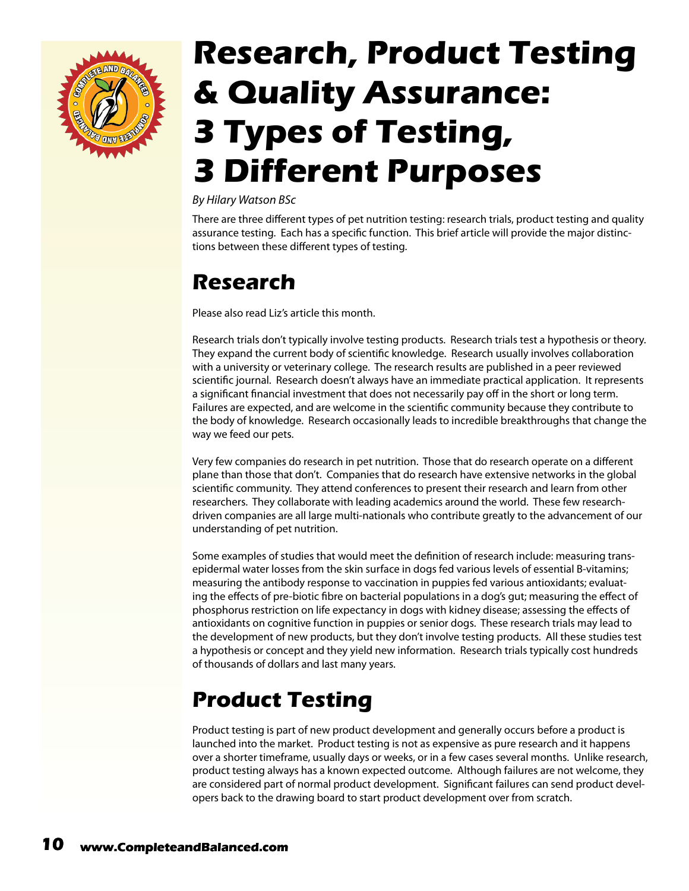<span id="page-9-0"></span>

# **Research, Product Testing & Quality Assurance: 3 Types of Testing, 3 Different Purposes**

#### *By Hilary Watson BSc*

There are three different types of pet nutrition testing: research trials, product testing and quality assurance testing. Each has a specific function. This brief article will provide the major distinctions between these different types of testing.

#### **Research**

Please also read Liz's article this month.

Research trials don't typically involve testing products. Research trials test a hypothesis or theory. They expand the current body of scientific knowledge. Research usually involves collaboration with a university or veterinary college. The research results are published in a peer reviewed scientific journal. Research doesn't always have an immediate practical application. It represents a significant financial investment that does not necessarily pay off in the short or long term. Failures are expected, and are welcome in the scientific community because they contribute to the body of knowledge. Research occasionally leads to incredible breakthroughs that change the way we feed our pets.

Very few companies do research in pet nutrition. Those that do research operate on a different plane than those that don't. Companies that do research have extensive networks in the global scientific community. They attend conferences to present their research and learn from other researchers. They collaborate with leading academics around the world. These few researchdriven companies are all large multi-nationals who contribute greatly to the advancement of our understanding of pet nutrition.

Some examples of studies that would meet the definition of research include: measuring transepidermal water losses from the skin surface in dogs fed various levels of essential B-vitamins; measuring the antibody response to vaccination in puppies fed various antioxidants; evaluating the effects of pre-biotic fibre on bacterial populations in a dog's gut; measuring the effect of phosphorus restriction on life expectancy in dogs with kidney disease; assessing the effects of antioxidants on cognitive function in puppies or senior dogs. These research trials may lead to the development of new products, but they don't involve testing products. All these studies test a hypothesis or concept and they yield new information. Research trials typically cost hundreds of thousands of dollars and last many years.

### **Product Testing**

Product testing is part of new product development and generally occurs before a product is launched into the market. Product testing is not as expensive as pure research and it happens over a shorter timeframe, usually days or weeks, or in a few cases several months. Unlike research, product testing always has a known expected outcome. Although failures are not welcome, they are considered part of normal product development. Significant failures can send product developers back to the drawing board to start product development over from scratch.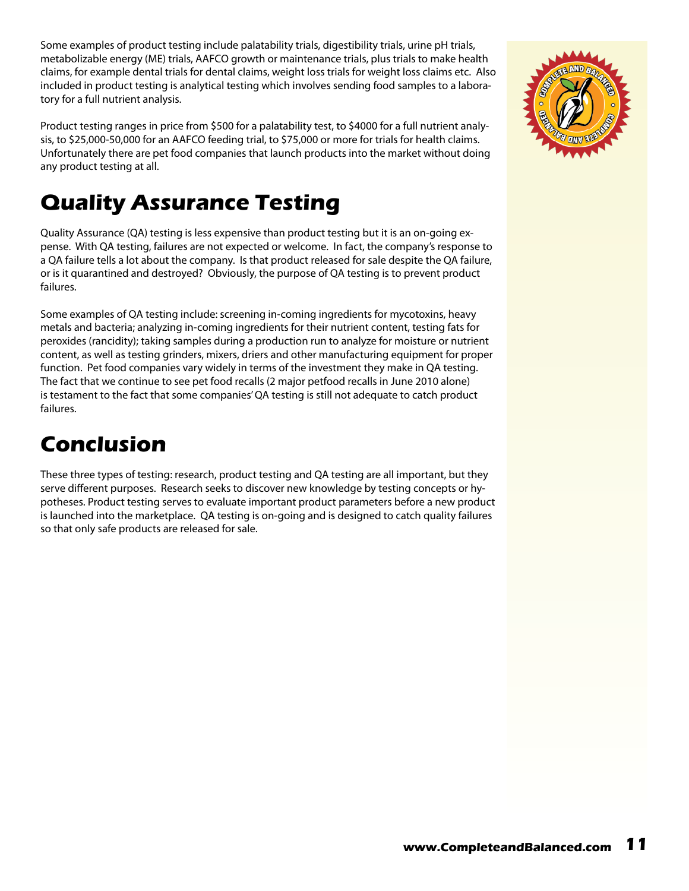Some examples of product testing include palatability trials, digestibility trials, urine pH trials, metabolizable energy (ME) trials, AAFCO growth or maintenance trials, plus trials to make health claims, for example dental trials for dental claims, weight loss trials for weight loss claims etc. Also included in product testing is analytical testing which involves sending food samples to a laboratory for a full nutrient analysis.

Product testing ranges in price from \$500 for a palatability test, to \$4000 for a full nutrient analysis, to \$25,000-50,000 for an AAFCO feeding trial, to \$75,000 or more for trials for health claims. Unfortunately there are pet food companies that launch products into the market without doing any product testing at all.

#### **Quality Assurance Testing**

Quality Assurance (QA) testing is less expensive than product testing but it is an on-going expense. With QA testing, failures are not expected or welcome. In fact, the company's response to a QA failure tells a lot about the company. Is that product released for sale despite the QA failure, or is it quarantined and destroyed? Obviously, the purpose of QA testing is to prevent product failures.

Some examples of QA testing include: screening in-coming ingredients for mycotoxins, heavy metals and bacteria; analyzing in-coming ingredients for their nutrient content, testing fats for peroxides (rancidity); taking samples during a production run to analyze for moisture or nutrient content, as well as testing grinders, mixers, driers and other manufacturing equipment for proper function. Pet food companies vary widely in terms of the investment they make in QA testing. The fact that we continue to see pet food recalls (2 major petfood recalls in June 2010 alone) is testament to the fact that some companies' QA testing is still not adequate to catch product failures.

#### **Conclusion**

These three types of testing: research, product testing and QA testing are all important, but they serve different purposes. Research seeks to discover new knowledge by testing concepts or hypotheses. Product testing serves to evaluate important product parameters before a new product is launched into the marketplace. QA testing is on-going and is designed to catch quality failures so that only safe products are released for sale.

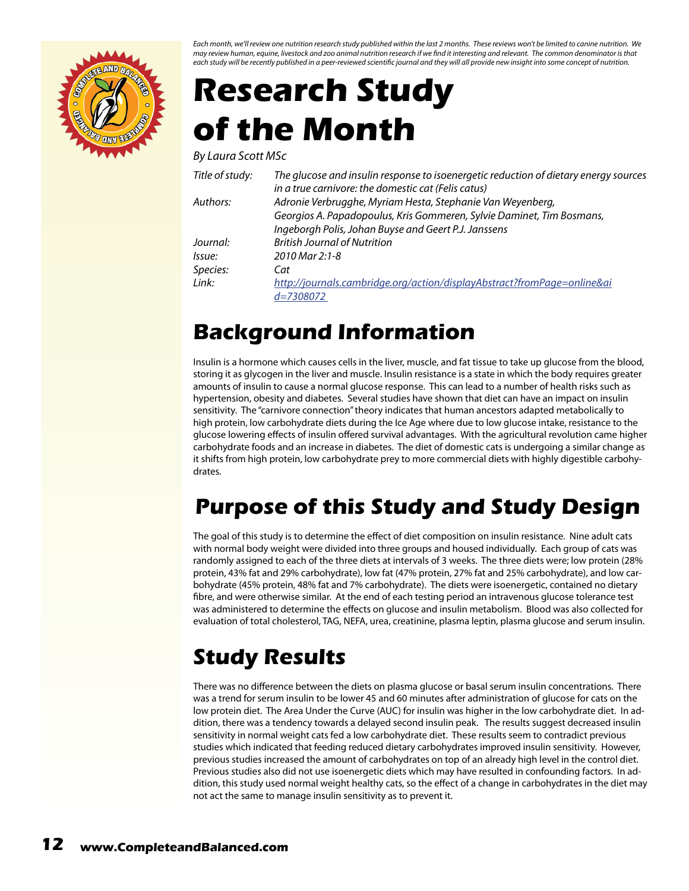<span id="page-11-0"></span>

*Each month, we'll review one nutrition research study published within the last 2 months. These reviews won't be limited to canine nutrition. We may review human, equine, livestock and zoo animal nutrition research if we find it interesting and relevant. The common denominator is that each study will be recently published in a peer-reviewed scientific journal and they will all provide new insight into some concept of nutrition.*

# **Research Study of the Month**

*By Laura Scott MSc*

| Title of study: | The glucose and insulin response to isoenergetic reduction of dietary energy sources |
|-----------------|--------------------------------------------------------------------------------------|
|                 | in a true carnivore: the domestic cat (Felis catus)                                  |
| Authors:        | Adronie Verbrugghe, Myriam Hesta, Stephanie Van Weyenberg,                           |
|                 | Georgios A. Papadopoulus, Kris Gommeren, Sylvie Daminet, Tim Bosmans,                |
|                 | Ingeborgh Polis, Johan Buyse and Geert P.J. Janssens                                 |
| Journal:        | <b>British Journal of Nutrition</b>                                                  |
| lssue:          | 2010 Mar 2:1-8                                                                       |
| Species:        | Cat                                                                                  |
| Link:           | http://journals.cambridge.org/action/displayAbstract?fromPage=online&ai              |
|                 | $d = 7308072$                                                                        |

#### **Background Information**

Insulin is a hormone which causes cells in the liver, muscle, and fat tissue to take up glucose from the blood, storing it as glycogen in the liver and muscle. Insulin resistance is a state in which the body requires greater amounts of insulin to cause a normal glucose response. This can lead to a number of health risks such as hypertension, obesity and diabetes. Several studies have shown that diet can have an impact on insulin sensitivity. The "carnivore connection" theory indicates that human ancestors adapted metabolically to high protein, low carbohydrate diets during the Ice Age where due to low glucose intake, resistance to the glucose lowering effects of insulin offered survival advantages. With the agricultural revolution came higher carbohydrate foods and an increase in diabetes. The diet of domestic cats is undergoing a similar change as it shifts from high protein, low carbohydrate prey to more commercial diets with highly digestible carbohydrates.

#### **Purpose of this Study and Study Design**

The goal of this study is to determine the effect of diet composition on insulin resistance. Nine adult cats with normal body weight were divided into three groups and housed individually. Each group of cats was randomly assigned to each of the three diets at intervals of 3 weeks. The three diets were; low protein (28% protein, 43% fat and 29% carbohydrate), low fat (47% protein, 27% fat and 25% carbohydrate), and low carbohydrate (45% protein, 48% fat and 7% carbohydrate). The diets were isoenergetic, contained no dietary fibre, and were otherwise similar. At the end of each testing period an intravenous glucose tolerance test was administered to determine the effects on glucose and insulin metabolism. Blood was also collected for evaluation of total cholesterol, TAG, NEFA, urea, creatinine, plasma leptin, plasma glucose and serum insulin.

#### **Study Results**

There was no difference between the diets on plasma glucose or basal serum insulin concentrations. There was a trend for serum insulin to be lower 45 and 60 minutes after administration of glucose for cats on the low protein diet. The Area Under the Curve (AUC) for insulin was higher in the low carbohydrate diet. In addition, there was a tendency towards a delayed second insulin peak. The results suggest decreased insulin sensitivity in normal weight cats fed a low carbohydrate diet. These results seem to contradict previous studies which indicated that feeding reduced dietary carbohydrates improved insulin sensitivity. However, previous studies increased the amount of carbohydrates on top of an already high level in the control diet. Previous studies also did not use isoenergetic diets which may have resulted in confounding factors. In addition, this study used normal weight healthy cats, so the effect of a change in carbohydrates in the diet may not act the same to manage insulin sensitivity as to prevent it.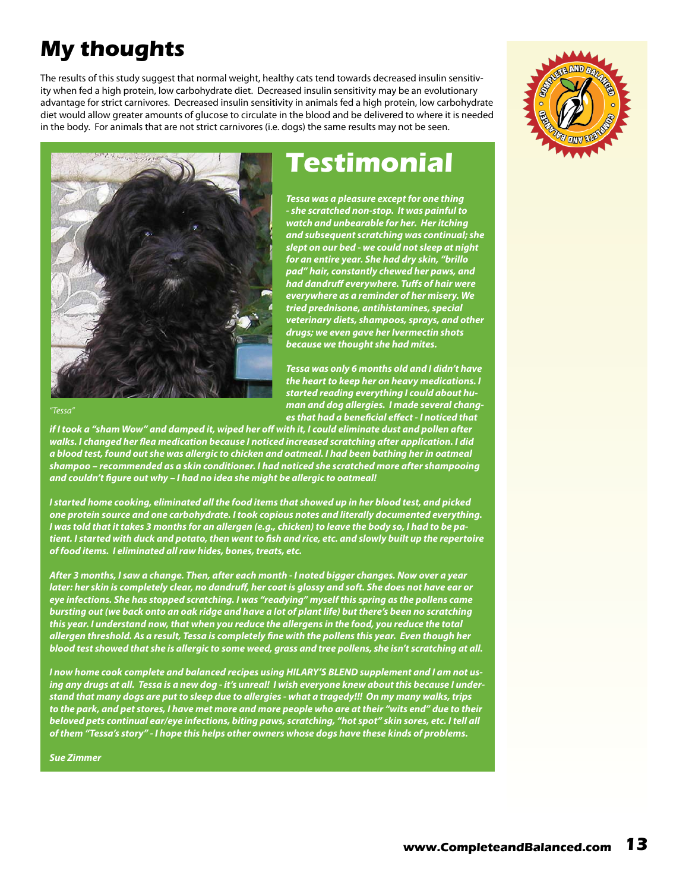### **My thoughts**

The results of this study suggest that normal weight, healthy cats tend towards decreased insulin sensitivity when fed a high protein, low carbohydrate diet. Decreased insulin sensitivity may be an evolutionary advantage for strict carnivores. Decreased insulin sensitivity in animals fed a high protein, low carbohydrate diet would allow greater amounts of glucose to circulate in the blood and be delivered to where it is needed in the body. For animals that are not strict carnivores (i.e. dogs) the same results may not be seen.





*"Tessa"*

*if I took a "sham Wow" and damped it, wiped her off with it, I could eliminate dust and pollen after walks. I changed her flea medication because I noticed increased scratching after application. I did a blood test, found out she was allergic to chicken and oatmeal. I had been bathing her in oatmeal shampoo – recommended as a skin conditioner. I had noticed she scratched more after shampooing and couldn't figure out why – I had no idea she might be allergic to oatmeal!* 

*I started home cooking, eliminated all the food items that showed up in her blood test, and picked one protein source and one carbohydrate. I took copious notes and literally documented everything. I was told that it takes 3 months for an allergen (e.g., chicken) to leave the body so, I had to be patient. I started with duck and potato, then went to fish and rice, etc. and slowly built up the repertoire of food items. I eliminated all raw hides, bones, treats, etc.* 

*After 3 months, I saw a change. Then, after each month - I noted bigger changes. Now over a year later: her skin is completely clear, no dandruff, her coat is glossy and soft. She does not have ear or eye infections. She has stopped scratching. I was "readying" myself this spring as the pollens came bursting out (we back onto an oak ridge and have a lot of plant life) but there's been no scratching this year. I understand now, that when you reduce the allergens in the food, you reduce the total allergen threshold. As a result, Tessa is completely fine with the pollens this year. Even though her blood test showed that she is allergic to some weed, grass and tree pollens, she isn't scratching at all.* 

*I now home cook complete and balanced recipes using HILARY'S BLEND supplement and I am not using any drugs at all. Tessa is a new dog - it's unreal! I wish everyone knew about this because I understand that many dogs are put to sleep due to allergies - what a tragedy!!! On my many walks, trips to the park, and pet stores, I have met more and more people who are at their "wits end" due to their beloved pets continual ear/eye infections, biting paws, scratching, "hot spot" skin sores, etc. I tell all of them "Tessa's story" - I hope this helps other owners whose dogs have these kinds of problems.* 

*Sue Zimmer*

#### **Testimonial**

*Tessa was a pleasure except for one thing - she scratched non-stop. It was painful to watch and unbearable for her. Her itching and subsequent scratching was continual; she slept on our bed - we could not sleep at night for an entire year. She had dry skin, "brillo pad" hair, constantly chewed her paws, and had dandruff everywhere. Tuffs of hair were everywhere as a reminder of her misery. We tried prednisone, antihistamines, special veterinary diets, shampoos, sprays, and other drugs; we even gave her Ivermectin shots because we thought she had mites.* 

*Tessa was only 6 months old and I didn't have the heart to keep her on heavy medications. I started reading everything I could about human and dog allergies. I made several changes that had a beneficial effect - I noticed that*